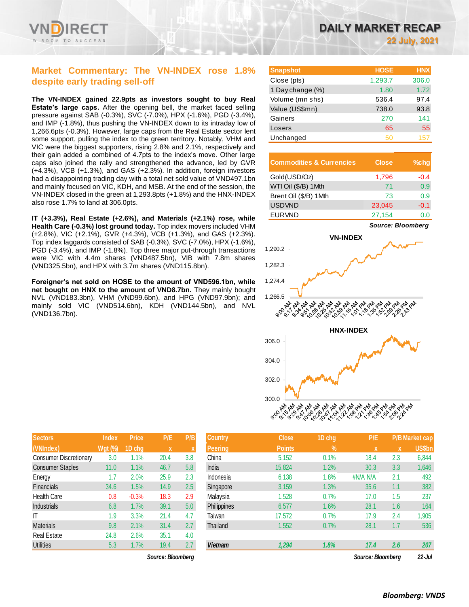

### **Market Commentary: The VN-INDEX rose 1.8% despite early trading sell-off**

**The VN-INDEX gained 22.9pts as investors sought to buy Real Estate's large caps.** After the opening bell, the market faced selling pressure against SAB (-0.3%), SVC (-7.0%), HPX (-1.6%), PGD (-3.4%), and IMP (-1.8%), thus pushing the VN-INDEX down to its intraday low of 1,266.6pts (-0.3%). However, large caps from the Real Estate sector lent some support, pulling the index to the green territory. Notably, VHM and VIC were the biggest supporters, rising 2.8% and 2.1%, respectively and their gain added a combined of 4.7pts to the index's move. Other large caps also joined the rally and strengthened the advance, led by GVR (+4.3%), VCB (+1.3%), and GAS (+2.3%). In addition, foreign investors had a disappointing trading day with a total net sold value of VND497.1bn and mainly focused on VIC, KDH, and MSB. At the end of the session, the VN-INDEX closed in the green at 1,293.8pts (+1.8%) and the HNX-INDEX also rose 1.7% to land at 306.0pts.

**IT (+3.3%), Real Estate (+2.6%), and Materials (+2.1%) rose, while Health Care (-0.3%) lost ground today.** Top index movers included VHM (+2.8%), VIC (+2.1%), GVR (+4.3%), VCB (+1.3%), and GAS (+2.3%). Top index laggards consisted of SAB (-0.3%), SVC (-7.0%), HPX (-1.6%), PGD (-3.4%), and IMP (-1.8%). Top three major put-through transactions were VIC with 4.4m shares (VND487.5bn), VIB with 7.8m shares (VND325.5bn), and HPX with 3.7m shares (VND115.8bn).

**Foreigner's net sold on HOSE to the amount of VND596.1bn, while net bought on HNX to the amount of VND8.7bn.** They mainly bought NVL (VND183.3bn), VHM (VND99.6bn), and HPG (VND97.9bn); and mainly sold VIC (VND514.6bn), KDH (VND144.5bn), and NVL (VND136.7bn).

| DAILY MARKET RECAP |  |                      |
|--------------------|--|----------------------|
|                    |  | <b>22 July, 2021</b> |

| <b>Snapshot</b>  | <b>HOSE</b> | <b>HNX</b> |
|------------------|-------------|------------|
| Close (pts)      | 1,293.7     | 306.0      |
| 1 Day change (%) | 1.80        | 1.72       |
| Volume (mn shs)  | 536.4       | 97.4       |
| Value (US\$mn)   | 738.0       | 93.8       |
| Gainers          | 270         | 141        |
| Losers           | 65          | 55         |
| Unchanged        | 50          | 157        |

| <b>Commodities &amp; Currencies</b> | Close  | $%$ chg |
|-------------------------------------|--------|---------|
| Gold(USD/Oz)                        | 1,796  | $-0.4$  |
| WTI Oil (\$/B) 1Mth                 | 71     | 0.9     |
| Brent Oil (\$/B) 1Mth               | 73     | 0.9     |
| <b>USDVND</b>                       | 23,045 | $-0.1$  |
| <b>EURVND</b>                       | 27,154 |         |



| <b>Sectors</b>                | <b>Index</b>   | <b>Price</b> | P/E  | P/B |
|-------------------------------|----------------|--------------|------|-----|
| (VNIndex)                     | <b>Wgt (%)</b> | 1D chq       | X    | X   |
| <b>Consumer Discretionary</b> | 3.0            | 1.1%         | 20.4 | 3.8 |
| <b>Consumer Staples</b>       | 11.0           | 1.1%         | 46.7 | 5.8 |
| Energy                        | 1.7            | 2.0%         | 25.9 | 2.3 |
| <b>Financials</b>             | 34.6           | 1.5%         | 14.9 | 2.5 |
| <b>Health Care</b>            | 0.8            | $-0.3%$      | 18.3 | 2.9 |
| <b>Industrials</b>            | 6.8            | 1.7%         | 39.1 | 5.0 |
| IT                            | 1.9            | 3.3%         | 21.4 | 4.7 |
| <b>Materials</b>              | 9.8            | 2.1%         | 31.4 | 2.7 |
| <b>Real Estate</b>            | 24.8           | 2.6%         | 35.1 | 4.0 |
| Utilities                     | 5.3            | 1.7%         | 19.4 | 2.7 |

| <b>Sectors</b>                | <b>Index</b> | <b>Price</b> | P/E         | P/B | <b>Country</b> | <b>Close</b>  | 1D chg        | P/E      |          | <b>P/B Market cap</b> |
|-------------------------------|--------------|--------------|-------------|-----|----------------|---------------|---------------|----------|----------|-----------------------|
| (VNIndex)                     | $Wgt$ (%)    | 1D chq       | $\mathbf x$ |     | <b>Peering</b> | <b>Points</b> | $\frac{9}{6}$ | X        | <b>X</b> | US\$bn                |
| <b>Consumer Discretionary</b> | 3.0          | 1.1%         | 20.4        | 3.8 | China          | 5,152         | 0.1%          | 18.4     | 2.3      | 6,844                 |
| Consumer Staples              | 11.0         | 1.1%         | 46.7        | 5.8 | India          | 15,824        | 1.2%          | 30.3     | 3.3      | 1,646                 |
| Energy                        | 1.7          | 2.0%         | 25.9        | 2.3 | Indonesia      | 6,138         | 1.8%          | #N/A N/A | 2.1      | 492                   |
| Financials                    | 34.6         | 1.5%         | 14.9        | 2.5 | Singapore      | 3,159         | 1.3%          | 35.6     | 1.1      | 382                   |
| Health Care                   | 0.8          | $-0.3%$      | 18.3        | 2.9 | Malaysia       | 1,528         | 0.7%          | 17.0     | 1.5      | 237                   |
| <b>Industrials</b>            | 6.8          | 1.7%         | 39.1        | 5.0 | Philippines    | 6,577         | 1.6%          | 28.1     | 1.6      | 164                   |
| ΙT                            | 1.9          | 3.3%         | 21.4        | 4.7 | Taiwan         | 17,572        | 0.7%          | 17.9     | 2.4      | 1,905                 |
| Materials                     | 9.8          | 2.1%         | 31.4        | 2.7 | Thailand       | 1,552         | 0.7%          | 28.1     | 1.7      | 536                   |
| Real Estate                   | 24.8         | 2.6%         | 35.1        | 4.0 |                |               |               |          |          |                       |
| <b>Utilities</b>              | 5.3          | 1.7%         | 19.4        | 2.7 | <b>Vietnam</b> | 1,294         | 1.8%          | 17.4     | 2.6      | 207                   |

*Source: Bloomberg Source: Bloomberg 22-Jul*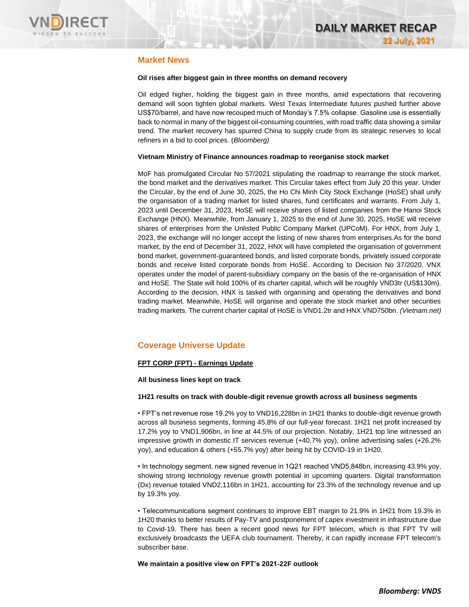

### **Market News**

### **Oil rises after biggest gain in three months on demand recovery**

Oil edged higher, holding the biggest gain in three months, amid expectations that recovering demand will soon tighten global markets. West Texas Intermediate futures pushed further above US\$70/barrel, and have now recouped much of Monday's 7.5% collapse. Gasoline use is essentially back to normal in many of the biggest oil-consuming countries, with road traffic data showing a similar trend. The market recovery has spurred China to supply crude from its strategic reserves to local refiners in a bid to cool prices. (*Bloomberg)*

#### **Vietnam Ministry of Finance announces roadmap to reorganise stock market**

MoF has promulgated Circular No 57/2021 stipulating the roadmap to rearrange the stock market, the bond market and the derivatives market. This Circular takes effect from July 20 this year. Under the Circular, by the end of June 30, 2025, the Ho Chi Minh City Stock Exchange (HoSE) shall unify the organisation of a trading market for listed shares, fund certificates and warrants. From July 1, 2023 until December 31, 2023, HoSE will receive shares of listed companies from the Hanoi Stock Exchange (HNX). Meanwhile, from January 1, 2025 to the end of June 30, 2025, HoSE will receive shares of enterprises from the Unlisted Public Company Market (UPCoM). For HNX, from July 1, 2023, the exchange will no longer accept the listing of new shares from enterprises.As for the bond market, by the end of December 31, 2022, HNX will have completed the organisation of government bond market, government-guaranteed bonds, and listed corporate bonds, privately issued corporate bonds and receive listed corporate bonds from HoSE. According to Decision No 37/2020, VNX operates under the model of parent-subsidiary company on the basis of the re-organisation of HNX and HoSE. The State will hold 100% of its charter capital, which will be roughly VND3tr (US\$130m). According to the decision, HNX is tasked with organising and operating the derivatives and bond trading market. Meanwhile, HoSE will organise and operate the stock market and other securities trading markets. The current charter capital of HoSE is VND1.2tr and HNX VND750bn. *(Vietnam.net)*

### **Coverage Universe Update**

### **FPT CORP (FPT) - Earnings Update**

### **All business lines kept on track**

### **1H21 results on track with double-digit revenue growth across all business segments**

• FPT's net revenue rose 19.2% yoy to VND16,228bn in 1H21 thanks to double-digit revenue growth across all business segments, forming 45.8% of our full-year forecast. 1H21 net profit increased by 17.2% yoy to VND1,906bn, in line at 44.5% of our projection. Notably, 1H21 top line witnessed an impressive growth in domestic IT services revenue (+40.7% yoy), online advertising sales (+26.2% yoy), and education & others (+55.7% yoy) after being hit by COVID-19 in 1H20.

• In technology segment, new signed revenue in 1Q21 reached VND5,848bn, increasing 43.9% yoy, showing strong technology revenue growth potential in upcoming quarters. Digital transformation (Dx) revenue totaled VND2,116bn in 1H21, accounting for 23.3% of the technology revenue and up by 19.3% yoy.

• Telecommunications segment continues to improve EBT margin to 21.9% in 1H21 from 19.3% in 1H20 thanks to better results of Pay-TV and postponement of capex investment in infrastructure due to Covid-19. There has been a recent good news for FPT telecom, which is that FPT TV will exclusively broadcasts the UEFA club tournament. Thereby, it can rapidly increase FPT telecom's subscriber base.

**We maintain a positive view on FPT's 2021-22F outlook**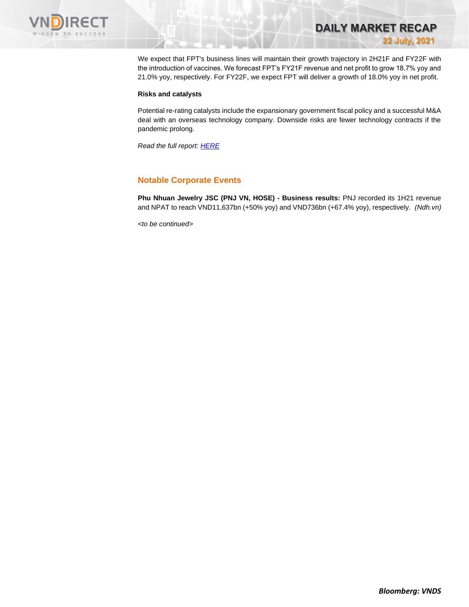

We expect that FPT's business lines will maintain their growth trajectory in 2H21F and FY22F with the introduction of vaccines. We forecast FPT's FY21F revenue and net profit to grow 18.7% yoy and 21.0% yoy, respectively. For FY22F, we expect FPT will deliver a growth of 18.0% yoy in net profit.

**DAILY MARKET RECAP** 

**22 July, 2021**

#### **Risks and catalysts**

Potential re-rating catalysts include the expansionary government fiscal policy and a successful M&A deal with an overseas technology company. Downside risks are fewer technology contracts if the pandemic prolong.

*Read the full report[: HERE](https://nhanha-public-api.vndirect.com.vn/click/OGE0ODlmZDA3ODBmMjMzZDAxNzgwZmU1YWI2ZTAwMDU=/MWQwMTExNzhmNTc3NDk5M2FiMTdhNDA0NTYyNzg2NGQ=/1d011178f5774993ab17a4045627864d-FPT_EarningsUpdate_20210721.pdf/cmVzZWFyY2hAdm5kaXJlY3QuY29tLnZu/MzMxMzM=)*

### **Notable Corporate Events**

**Phu Nhuan Jewelry JSC (PNJ VN, HOSE) - Business results:** PNJ recorded its 1H21 revenue and NPAT to reach VND11,637bn (+50% yoy) and VND736bn (+67.4% yoy), respectively. *(Ndh.vn)*

*<to be continued>*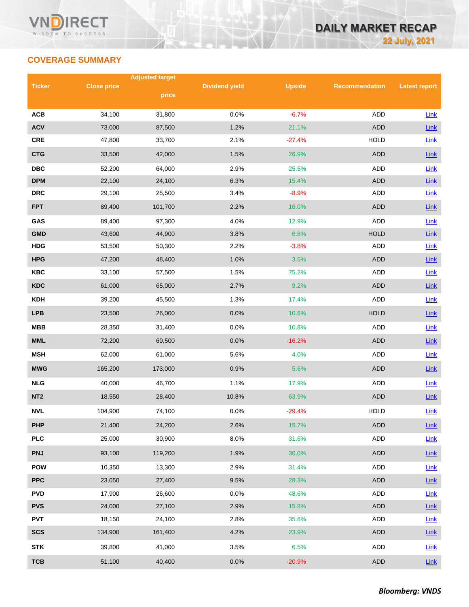## **COVERAGE SUMMARY**

|                 |                    | <b>Adjusted target</b> |                       |               |                       |                      |
|-----------------|--------------------|------------------------|-----------------------|---------------|-----------------------|----------------------|
| <b>Ticker</b>   | <b>Close price</b> | price                  | <b>Dividend yield</b> | <b>Upside</b> | <b>Recommendation</b> | <b>Latest report</b> |
|                 |                    |                        |                       |               |                       |                      |
| <b>ACB</b>      | 34,100             | 31,800                 | 0.0%                  | $-6.7%$       | <b>ADD</b>            | Link                 |
| <b>ACV</b>      | 73,000             | 87,500                 | 1.2%                  | 21.1%         | <b>ADD</b>            | Link                 |
| <b>CRE</b>      | 47,800             | 33,700                 | 2.1%                  | $-27.4%$      | <b>HOLD</b>           | Link                 |
| <b>CTG</b>      | 33,500             | 42,000                 | 1.5%                  | 26.9%         | <b>ADD</b>            | Link                 |
| <b>DBC</b>      | 52,200             | 64,000                 | 2.9%                  | 25.5%         | ADD                   | Link                 |
| <b>DPM</b>      | 22,100             | 24,100                 | 6.3%                  | 15.4%         | <b>ADD</b>            | Link                 |
| <b>DRC</b>      | 29,100             | 25,500                 | 3.4%                  | $-8.9%$       | <b>ADD</b>            | Link                 |
| <b>FPT</b>      | 89,400             | 101,700                | 2.2%                  | 16.0%         | <b>ADD</b>            | Link                 |
| GAS             | 89,400             | 97,300                 | 4.0%                  | 12.9%         | <b>ADD</b>            | Link                 |
| <b>GMD</b>      | 43,600             | 44,900                 | 3.8%                  | 6.8%          | <b>HOLD</b>           | Link                 |
| <b>HDG</b>      | 53,500             | 50,300                 | 2.2%                  | $-3.8%$       | ADD                   | Link                 |
| <b>HPG</b>      | 47,200             | 48,400                 | 1.0%                  | 3.5%          | <b>ADD</b>            | Link                 |
| <b>KBC</b>      | 33,100             | 57,500                 | 1.5%                  | 75.2%         | ADD                   | Link                 |
| <b>KDC</b>      | 61,000             | 65,000                 | 2.7%                  | 9.2%          | <b>ADD</b>            | Link                 |
| <b>KDH</b>      | 39,200             | 45,500                 | 1.3%                  | 17.4%         | ADD                   | Link                 |
| <b>LPB</b>      | 23,500             | 26,000                 | 0.0%                  | 10.6%         | <b>HOLD</b>           | Link                 |
| <b>MBB</b>      | 28,350             | 31,400                 | 0.0%                  | 10.8%         | ADD                   | Link                 |
| <b>MML</b>      | 72,200             | 60,500                 | 0.0%                  | $-16.2%$      | <b>ADD</b>            | Link                 |
| <b>MSH</b>      | 62,000             | 61,000                 | 5.6%                  | 4.0%          | ADD                   | Link                 |
| <b>MWG</b>      | 165,200            | 173,000                | 0.9%                  | 5.6%          | <b>ADD</b>            | Link                 |
| <b>NLG</b>      | 40,000             | 46,700                 | 1.1%                  | 17.9%         | ADD                   | Link                 |
| NT <sub>2</sub> | 18,550             | 28,400                 | 10.8%                 | 63.9%         | <b>ADD</b>            | Link                 |
| <b>NVL</b>      | 104,900            | 74,100                 | 0.0%                  | $-29.4%$      | <b>HOLD</b>           | Link                 |
| <b>PHP</b>      | 21,400             | 24,200                 | 2.6%                  | 15.7%         | ADD                   | Link                 |
| <b>PLC</b>      | 25,000             | 30,900                 | 8.0%                  | 31.6%         | ADD                   | Link                 |
| <b>PNJ</b>      | 93,100             | 119,200                | 1.9%                  | 30.0%         | ADD                   | Link                 |
| <b>POW</b>      | 10,350             | 13,300                 | 2.9%                  | 31.4%         | ADD                   | Link                 |
| <b>PPC</b>      | 23,050             | 27,400                 | 9.5%                  | 28.3%         | ADD                   | Link                 |
| <b>PVD</b>      | 17,900             | 26,600                 | 0.0%                  | 48.6%         | ADD                   | <b>Link</b>          |
| <b>PVS</b>      | 24,000             | 27,100                 | 2.9%                  | 15.8%         | <b>ADD</b>            | $Link$               |
| <b>PVT</b>      | 18,150             | 24,100                 | 2.8%                  | 35.6%         | ADD                   | Link                 |
| <b>SCS</b>      | 134,900            | 161,400                | 4.2%                  | 23.9%         | ADD                   | $Link$               |
| <b>STK</b>      | 39,800             | 41,000                 | 3.5%                  | 6.5%          | ADD                   | Link                 |
| <b>TCB</b>      | 51,100             | 40,400                 | 0.0%                  | $-20.9%$      | <b>ADD</b>            | Link                 |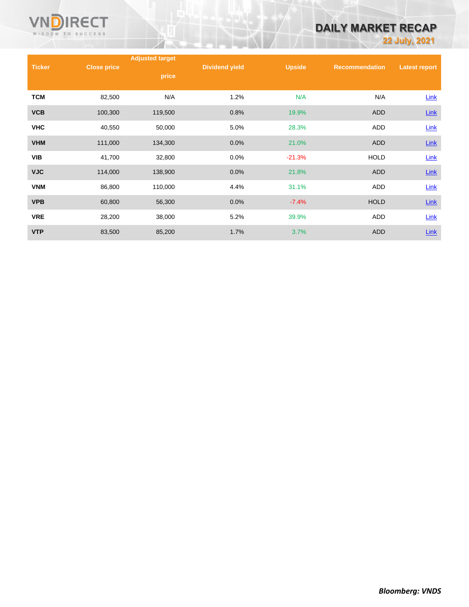

# **DAILY MARKET RECAP**

**22 July, 2021**

|               |                    | <b>Adjusted target</b> |                       |               |                       |                      |
|---------------|--------------------|------------------------|-----------------------|---------------|-----------------------|----------------------|
| <b>Ticker</b> | <b>Close price</b> | price                  | <b>Dividend yield</b> | <b>Upside</b> | <b>Recommendation</b> | <b>Latest report</b> |
| <b>TCM</b>    | 82,500             | N/A                    | 1.2%                  | N/A           | N/A                   | Link                 |
| <b>VCB</b>    | 100,300            | 119,500                | 0.8%                  | 19.9%         | <b>ADD</b>            | $Link$               |
| <b>VHC</b>    | 40,550             | 50,000                 | 5.0%                  | 28.3%         | ADD                   | Link                 |
| <b>VHM</b>    | 111,000            | 134,300                | 0.0%                  | 21.0%         | <b>ADD</b>            | $Link$               |
| <b>VIB</b>    | 41,700             | 32,800                 | $0.0\%$               | $-21.3%$      | <b>HOLD</b>           | Link                 |
| <b>VJC</b>    | 114,000            | 138,900                | 0.0%                  | 21.8%         | <b>ADD</b>            | $Link$               |
| <b>VNM</b>    | 86,800             | 110,000                | 4.4%                  | 31.1%         | ADD                   | Link                 |
| <b>VPB</b>    | 60,800             | 56,300                 | 0.0%                  | $-7.4%$       | <b>HOLD</b>           | $Link$               |
| <b>VRE</b>    | 28,200             | 38,000                 | 5.2%                  | 39.9%         | ADD                   | Link                 |
| <b>VTP</b>    | 83,500             | 85,200                 | 1.7%                  | 3.7%          | ADD                   | Link                 |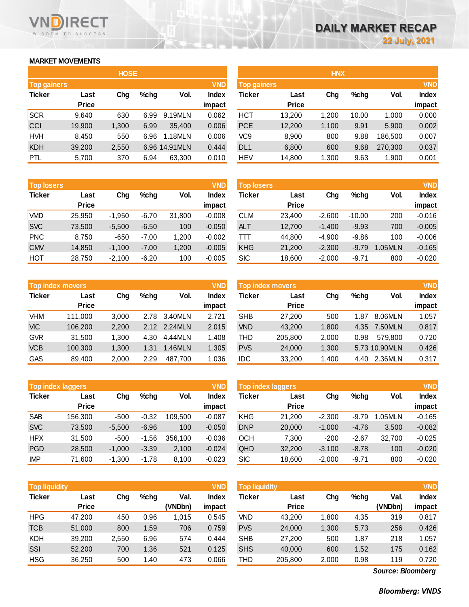### **MARKET MOVEMENTS**

WISDOM TO SUCCESS

**RECT** 

|                    | <b>HOSE</b>  |       |         |                |              |  |  |  |  |
|--------------------|--------------|-------|---------|----------------|--------------|--|--|--|--|
| <b>Top gainers</b> |              |       |         |                | <b>VND</b>   |  |  |  |  |
| <b>Ticker</b>      | Last         | Chg   | $%$ chg | Vol.           | <b>Index</b> |  |  |  |  |
|                    | <b>Price</b> |       |         |                | impact       |  |  |  |  |
| <b>SCR</b>         | 9,640        | 630   | 6.99    | 9.19MLN        | 0.062        |  |  |  |  |
| CCI                | 19,900       | 1,300 | 6.99    | 35.400         | 0.006        |  |  |  |  |
| <b>HVH</b>         | 8,450        | 550   | 6.96    | 1.18MLN        | 0.006        |  |  |  |  |
| <b>KDH</b>         | 39,200       | 2,550 |         | 6.96 14.91 MLN | 0.444        |  |  |  |  |
| PTL                | 5,700        | 370   | 6.94    | 63,300         | 0.010        |  |  |  |  |

| <b>Top losers</b> |              |          |         |        | <b>VND</b>   |
|-------------------|--------------|----------|---------|--------|--------------|
| <b>Ticker</b>     | Last         | Chg      | $%$ chg | Vol.   | <b>Index</b> |
|                   | <b>Price</b> |          |         |        | impact       |
| <b>VMD</b>        | 25,950       | $-1,950$ | $-6.70$ | 31,800 | $-0.008$     |
| <b>SVC</b>        | 73,500       | $-5,500$ | $-6.50$ | 100    | $-0.050$     |
| <b>PNC</b>        | 8,750        | $-650$   | $-7.00$ | 1,200  | $-0.002$     |
| <b>CMV</b>        | 14,850       | $-1,100$ | $-7.00$ | 1,200  | $-0.005$     |
| HOT               | 28,750       | $-2,100$ | $-6.20$ | 100    | $-0.005$     |

| <b>VND</b><br><b>Top index movers</b> |              |       |         |         |              |  |  |
|---------------------------------------|--------------|-------|---------|---------|--------------|--|--|
| <b>Ticker</b>                         | Last         | Cha   | $%$ chg | Vol.    | <b>Index</b> |  |  |
|                                       | <b>Price</b> |       |         |         | impact       |  |  |
| VHM                                   | 111,000      | 3,000 | 2.78    | 3.40MLN | 2.721        |  |  |
| <b>VIC</b>                            | 106,200      | 2,200 | 2.12    | 2.24MLN | 2.015        |  |  |
| <b>GVR</b>                            | 31,500       | 1,300 | 4.30    | 4.44MLN | 1.408        |  |  |
| <b>VCB</b>                            | 100,300      | 1,300 | 1.31    | 1.46MLN | 1.305        |  |  |
| <b>GAS</b>                            | 89,400       | 2,000 | 2.29    | 487,700 | 1.036        |  |  |

| <b>Top index laggers</b> |              |          |         |         |              |  |  |
|--------------------------|--------------|----------|---------|---------|--------------|--|--|
| <b>Ticker</b>            | Last         | Chg      | $%$ chg | Vol.    | <b>Index</b> |  |  |
|                          | <b>Price</b> |          |         |         | impact       |  |  |
| <b>SAB</b>               | 156,300      | -500     | $-0.32$ | 109.500 | $-0.087$     |  |  |
| <b>SVC</b>               | 73,500       | $-5,500$ | $-6.96$ | 100     | $-0.050$     |  |  |
| <b>HPX</b>               | 31,500       | -500     | $-1.56$ | 356,100 | $-0.036$     |  |  |
| <b>PGD</b>               | 28,500       | $-1,000$ | $-3.39$ | 2,100   | $-0.024$     |  |  |
| <b>IMP</b>               | 71,600       | $-1,300$ | $-1.78$ | 8,100   | $-0.023$     |  |  |

| <b>VND</b><br><b>Top liquidity</b> |              |       |         |         |              |  |
|------------------------------------|--------------|-------|---------|---------|--------------|--|
| <b>Ticker</b>                      | Last         | Cha   | $%$ chg | Val.    | <b>Index</b> |  |
|                                    | <b>Price</b> |       |         | (VNDbn) | impact       |  |
| <b>HPG</b>                         | 47,200       | 450   | 0.96    | 1,015   | 0.545        |  |
| <b>TCB</b>                         | 51,000       | 800   | 1.59    | 706     | 0.759        |  |
| <b>KDH</b>                         | 39,200       | 2,550 | 6.96    | 574     | 0.444        |  |
| SSI                                | 52,200       | 700   | 1.36    | 521     | 0.125        |  |
| <b>HSG</b>                         | 36,250       | 500   | 1.40    | 473     | 0.066        |  |

|                    |              | <b>HOSE</b> |         |                |              |                    |              | <b>HNX</b> |       |         |              |
|--------------------|--------------|-------------|---------|----------------|--------------|--------------------|--------------|------------|-------|---------|--------------|
| <b>Top gainers</b> |              |             |         |                | <b>VND</b>   | <b>Top gainers</b> |              |            |       |         | <b>VND</b>   |
| Ticker             | Last         | Chg         | $%$ chg | Vol.           | <b>Index</b> | Ticker             | Last         | Chg        | %chg  | Vol.    | <b>Index</b> |
|                    | <b>Price</b> |             |         |                | impact       |                    | <b>Price</b> |            |       |         | impact       |
| <b>SCR</b>         | 9,640        | 630         | 6.99    | 9.19MLN        | 0.062        | <b>HCT</b>         | 13,200       | 1,200      | 10.00 | 1,000   | 0.000        |
| CCI                | 19,900       | 1,300       | 6.99    | 35.400         | 0.006        | <b>PCE</b>         | 12,200       | 1,100      | 9.91  | 5,900   | 0.002        |
| <b>HVH</b>         | 8,450        | 550         | 6.96    | 1.18MLN        | 0.006        | VC9                | 8,900        | 800        | 9.88  | 186.500 | 0.007        |
| KDH                | 39,200       | 2,550       |         | 6.96 14.91 MLN | 0.444        | DL <sub>1</sub>    | 6,800        | 600        | 9.68  | 270,300 | 0.037        |
| PTL                | 5,700        | 370         | 6.94    | 63,300         | 0.010        | <b>HEV</b>         | 14,800       | 1,300      | 9.63  | 1,900   | 0.001        |
|                    |              |             |         |                |              |                    |              |            |       |         |              |

| <b>Top losers</b> |              |          |         |        | <b>VND</b> | <b>Top losers</b> |              |          |          |         | <b>VND</b>   |
|-------------------|--------------|----------|---------|--------|------------|-------------------|--------------|----------|----------|---------|--------------|
| Ticker            | Last         | Chg      | $%$ chg | Vol.   | Index      | Ticker            | Last         | Chg      | $%$ chg  | Vol.    | <b>Index</b> |
|                   | <b>Price</b> |          |         |        | impact     |                   | <b>Price</b> |          |          |         | impact       |
| VMD               | 25.950       | $-1.950$ | $-6.70$ | 31.800 | $-0.008$   | CLM               | 23.400       | $-2.600$ | $-10.00$ | 200     | $-0.016$     |
| <b>SVC</b>        | 73,500       | $-5,500$ | $-6.50$ | 100    | $-0.050$   | <b>ALT</b>        | 12.700       | $-1.400$ | $-9.93$  | 700     | $-0.005$     |
| <b>PNC</b>        | 8.750        | $-650$   | $-7.00$ | 1,200  | $-0.002$   | Ш                 | 44.800       | $-4.900$ | $-9.86$  | 100     | $-0.006$     |
| <b>CMV</b>        | 14,850       | $-1,100$ | $-7.00$ | 1,200  | $-0.005$   | <b>KHG</b>        | 21,200       | $-2,300$ | $-9.79$  | 1.05MLN | $-0.165$     |
| нот               | 28,750       | $-2,100$ | $-6.20$ | 100    | $-0.005$   | <b>SIC</b>        | 18,600       | $-2,000$ | $-9.71$  | 800     | $-0.020$     |

|            | <b>Top index movers</b> |       |         |               | <b>VND</b>   |            | <b>Top index movers</b> |       |         |               | <b>VND</b>   |
|------------|-------------------------|-------|---------|---------------|--------------|------------|-------------------------|-------|---------|---------------|--------------|
| Ticker     | Last                    | Chg   | $%$ chg | Vol.          | <b>Index</b> | Ticker     | Last                    | Chg   | $%$ chg | Vol.          | <b>Index</b> |
|            | <b>Price</b>            |       |         |               | impact       |            | <b>Price</b>            |       |         |               | impact       |
| VHM        | 111.000                 | 3,000 | 2.78    | 3.40MLN       | 2.721        | <b>SHB</b> | 27,200                  | 500   | 1.87    | 8.06MLN       | 1.057        |
| <b>VIC</b> | 106,200                 | 2,200 |         | 2.12 2.24 MLN | 2.015        | <b>VND</b> | 43,200                  | 1,800 | 4.35    | 7.50MLN       | 0.817        |
| <b>GVR</b> | 31.500                  | 1.300 | 4.30    | 4.44MLN       | 1.408        | THD        | 205,800                 | 2.000 | 0.98    | 579.800       | 0.720        |
| <b>VCB</b> | 100.300                 | 1,300 | 1.31    | .46MLN        | 1.305        | <b>PVS</b> | 24,000                  | 1,300 |         | 5.73 10.90MLN | 0.426        |
| GAS        | 89,400                  | 2,000 | 2.29    | 487.700       | 1.036        | <b>IDC</b> | 33,200                  | 1,400 | 4.40    | 2.36MLN       | 0.317        |
|            |                         |       |         |               |              |            |                         |       |         |               |              |

| Top index laggers |              |          |         |         | <b>VND</b> | Top index laggers |              |          |         |        | <b>VND</b>   |
|-------------------|--------------|----------|---------|---------|------------|-------------------|--------------|----------|---------|--------|--------------|
| Ticker            | Last         | Chg      | $%$ chg | Vol.    | Index      | Ticker            | Last         | Chg      | %chg    | Vol.   | <b>Index</b> |
|                   | <b>Price</b> |          |         |         | impact     |                   | <b>Price</b> |          |         |        | impact       |
| <b>SAB</b>        | 156.300      | $-500$   | $-0.32$ | 109.500 | $-0.087$   | <b>KHG</b>        | 21.200       | $-2.300$ | $-9.79$ | .05MLN | $-0.165$     |
| <b>SVC</b>        | 73,500       | $-5.500$ | $-6.96$ | 100     | $-0.050$   | <b>DNP</b>        | 20,000       | $-1.000$ | $-4.76$ | 3,500  | $-0.082$     |
| <b>HPX</b>        | 31,500       | $-500$   | $-1.56$ | 356,100 | $-0.036$   | <b>OCH</b>        | 7,300        | $-200$   | $-2.67$ | 32.700 | $-0.025$     |
| <b>PGD</b>        | 28,500       | $-1,000$ | $-3.39$ | 2,100   | $-0.024$   | QHD               | 32,200       | $-3.100$ | $-8.78$ | 100    | $-0.020$     |
| <b>IMP</b>        | 71,600       | $-1,300$ | $-1.78$ | 8,100   | $-0.023$   | <b>SIC</b>        | 18,600       | $-2,000$ | $-9.71$ | 800    | $-0.020$     |
|                   |              |          |         |         |            |                   |              |          |         |        |              |

| Top liquidity <sup>1</sup> |              |       |         |         | <b>VND</b>   | <b>Top liquidity</b> |              |       |         |         | <b>VND</b>   |
|----------------------------|--------------|-------|---------|---------|--------------|----------------------|--------------|-------|---------|---------|--------------|
| Ticker                     | Last         | Chg   | $%$ chg | Val.    | <b>Index</b> | Ticker               | Last         | Chg   | $%$ chg | Val.    | <b>Index</b> |
|                            | <b>Price</b> |       |         | (VNDbn) | impact       |                      | <b>Price</b> |       |         | (VNDbn) | impact       |
| <b>HPG</b>                 | 47.200       | 450   | 0.96    | .015    | 0.545        | VND                  | 43.200       | 1.800 | 4.35    | 319     | 0.817        |
| <b>TCB</b>                 | 51,000       | 800   | 1.59    | 706     | 0.759        | <b>PVS</b>           | 24,000       | 1,300 | 5.73    | 256     | 0.426        |
| KDH                        | 39,200       | 2,550 | 6.96    | 574     | 0.444        | <b>SHB</b>           | 27,200       | 500   | 1.87    | 218     | 1.057        |
| SSI                        | 52,200       | 700   | 1.36    | 521     | 0.125        | <b>SHS</b>           | 40,000       | 600   | 1.52    | 175     | 0.162        |
| HSG                        | 36,250       | 500   | 1.40    | 473     | 0.066        | THD                  | 205,800      | 2,000 | 0.98    | 119     | 0.720        |

*Source: Bloomberg*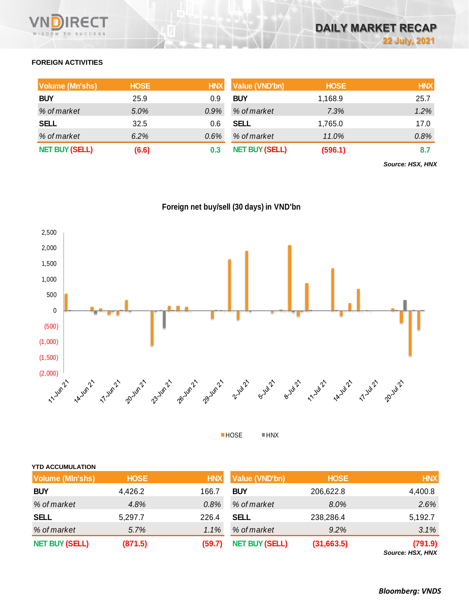### **FOREIGN ACTIVITIES**

| <b>Volume (Mn'shs)</b> | <b>HOSE</b> | <b>HNX</b> | Value (VND'bn)        | <b>HOSE</b> | <b>HNX</b> |
|------------------------|-------------|------------|-----------------------|-------------|------------|
| <b>BUY</b>             | 25.9        | 0.9        | <b>BUY</b>            | 1,168.9     | 25.7       |
| % of market            | 5.0%        | $0.9\%$    | % of market           | 7.3%        | 1.2%       |
| <b>SELL</b>            | 32.5        | 0.6        | <b>SELL</b>           | 1,765.0     | 17.0       |
| % of market            | $6.2\%$     | $0.6\%$    | % of market           | 11.0%       | 0.8%       |
| <b>NET BUY (SELL)</b>  | (6.6)       | 0.3        | <b>NET BUY (SELL)</b> | (596.1)     | 8.7        |

*Source: HSX, HNX*





HOSE HNX

| <b>YTD ACCUMULATION</b> |             |            |                       |             |                             |
|-------------------------|-------------|------------|-----------------------|-------------|-----------------------------|
| <b>Volume (MIn'shs)</b> | <b>HOSE</b> | <b>HNX</b> | Value (VND'bn)        | <b>HOSE</b> | <b>HNX</b>                  |
| <b>BUY</b>              | 4,426.2     | 166.7      | <b>BUY</b>            | 206,622.8   | 4,400.8                     |
| % of market             | 4.8%        | 0.8%       | % of market           | 8.0%        | 2.6%                        |
| <b>SELL</b>             | 5,297.7     | 226.4      | <b>SELL</b>           | 238,286.4   | 5,192.7                     |
| % of market             | 5.7%        | 1.1%       | % of market           | 9.2%        | 3.1%                        |
| <b>NET BUY (SELL)</b>   | (871.5)     | (59.7)     | <b>NET BUY (SELL)</b> | (31,663.5)  | (791.9)<br>Source: HSX, HNX |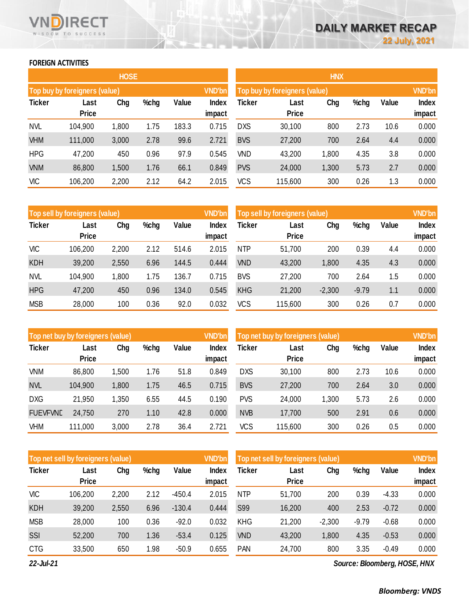### **FOREIGN ACTIVITIES**

WISDOM TO SUCCESS

ד־ F٢

|               |                                      | <b>HOSE</b> |      |       |                 | <b>HNX</b>    |                               |       |      |       |                 |
|---------------|--------------------------------------|-------------|------|-------|-----------------|---------------|-------------------------------|-------|------|-------|-----------------|
|               | <b>Top buy by foreigners (value)</b> |             |      |       | <b>VND'bn</b>   |               | Top buy by foreigners (value) |       |      |       | <b>VND'bn</b>   |
| <b>Ticker</b> | Last<br><b>Price</b>                 | Chg         | %chg | Value | Index<br>impact | <b>Ticker</b> | Last<br><b>Price</b>          | Chg   | %chg | Value | Index<br>impact |
| <b>NVL</b>    | 104,900                              | 1,800       | 1.75 | 183.3 | 0.715           | <b>DXS</b>    | 30,100                        | 800   | 2.73 | 10.6  | 0.000           |
| <b>VHM</b>    | 111,000                              | 3,000       | 2.78 | 99.6  | 2.721           | <b>BVS</b>    | 27,200                        | 700   | 2.64 | 4.4   | 0.000           |
| <b>HPG</b>    | 47,200                               | 450         | 0.96 | 97.9  | 0.545           | <b>VND</b>    | 43,200                        | 1,800 | 4.35 | 3.8   | 0.000           |
| <b>VNM</b>    | 86,800                               | 1,500       | 1.76 | 66.1  | 0.849           | <b>PVS</b>    | 24,000                        | 1,300 | 5.73 | 2.7   | 0.000           |
| <b>VIC</b>    | 106,200                              | 2,200       | 2.12 | 64.2  | 2.015           | <b>VCS</b>    | 115,600                       | 300   | 0.26 | 1.3   | 0.000           |

|               | Top sell by foreigners (value) |       |      |       | <b>VND'bn</b>   |            | Top sell by foreigners (value) |          |         |       | <b>VND'bn</b>   |
|---------------|--------------------------------|-------|------|-------|-----------------|------------|--------------------------------|----------|---------|-------|-----------------|
| <b>Ticker</b> | Last<br><b>Price</b>           | Chg   | %chg | Value | Index<br>impact | Ticker     | Last<br><b>Price</b>           | Chg      | %chg    | Value | Index<br>impact |
| <b>VIC</b>    | 106,200                        | 2,200 | 2.12 | 514.6 | 2.015           | <b>NTP</b> | 51,700                         | 200      | 0.39    | 4.4   | 0.000           |
| <b>KDH</b>    | 39,200                         | 2,550 | 6.96 | 144.5 | 0.444           | <b>VND</b> | 43,200                         | 1,800    | 4.35    | 4.3   | 0.000           |
| <b>NVL</b>    | 104,900                        | 1,800 | 1.75 | 136.7 | 0.715           | <b>BVS</b> | 27,200                         | 700      | 2.64    | 1.5   | 0.000           |
| <b>HPG</b>    | 47,200                         | 450   | 0.96 | 134.0 | 0.545           | <b>KHG</b> | 21,200                         | $-2,300$ | $-9.79$ | 1.1   | 0.000           |
| <b>MSB</b>    | 28,000                         | 100   | 0.36 | 92.0  | 0.032           | <b>VCS</b> | 115,600                        | 300      | 0.26    | 0.7   | 0.000           |

| Top net buy by foreigners (value) |                      |       |      |       | <b>VND'bn</b>   | <b>VND'bn</b><br>Top net buy by foreigners (value) |                      |       |      |       |                 |
|-----------------------------------|----------------------|-------|------|-------|-----------------|----------------------------------------------------|----------------------|-------|------|-------|-----------------|
| <b>Ticker</b>                     | Last<br><b>Price</b> | Chg   | %chg | Value | Index<br>impact | Ticker                                             | Last<br><b>Price</b> | Chg   | %chg | Value | Index<br>impact |
| <b>VNM</b>                        | 86,800               | 1,500 | 1.76 | 51.8  | 0.849           | <b>DXS</b>                                         | 30,100               | 800   | 2.73 | 10.6  | 0.000           |
| <b>NVL</b>                        | 104,900              | 1,800 | 1.75 | 46.5  | 0.715           | <b>BVS</b>                                         | 27,200               | 700   | 2.64 | 3.0   | 0.000           |
| <b>DXG</b>                        | 21,950               | 1,350 | 6.55 | 44.5  | 0.190           | <b>PVS</b>                                         | 24,000               | 1,300 | 5.73 | 2.6   | 0.000           |
| <b>FUEVFVND</b>                   | 24,750               | 270   | 1.10 | 42.8  | 0.000           | <b>NVB</b>                                         | 17,700               | 500   | 2.91 | 0.6   | 0.000           |
| VHM                               | 111,000              | 3,000 | 2.78 | 36.4  | 2.721           | VCS                                                | 115,600              | 300   | 0.26 | 0.5   | 0.000           |

|               | Top net sell by foreigners (value) |       |      |          | <b>VND'bn</b> |            | Top net sell by foreigners (value) |          |         |         | <b>VND'bn</b> |
|---------------|------------------------------------|-------|------|----------|---------------|------------|------------------------------------|----------|---------|---------|---------------|
| <b>Ticker</b> | Last<br><b>Price</b>               | Chg   | %chg | Value    | Index         | Ticker     | Last<br><b>Price</b>               | Chg      | %chg    | Value   | Index         |
|               |                                    |       |      |          | impact        |            |                                    |          |         |         | impact        |
| <b>VIC</b>    | 106,200                            | 2,200 | 2.12 | $-450.4$ | 2.015         | <b>NTP</b> | 51,700                             | 200      | 0.39    | $-4.33$ | 0.000         |
| <b>KDH</b>    | 39,200                             | 2,550 | 6.96 | $-130.4$ | 0.444         | <b>S99</b> | 16,200                             | 400      | 2.53    | $-0.72$ | 0.000         |
| <b>MSB</b>    | 28,000                             | 100   | 0.36 | $-92.0$  | 0.032         | <b>KHG</b> | 21,200                             | $-2,300$ | $-9.79$ | $-0.68$ | 0.000         |
| SSI           | 52,200                             | 700   | 1.36 | $-53.4$  | 0.125         | <b>VND</b> | 43,200                             | 1,800    | 4.35    | $-0.53$ | 0.000         |
| <b>CTG</b>    | 33,500                             | 650   | 1.98 | $-50.9$  | 0.655         | <b>PAN</b> | 24,700                             | 800      | 3.35    | $-0.49$ | 0.000         |

*22-Jul-21*

*Source: Bloomberg, HOSE, HNX*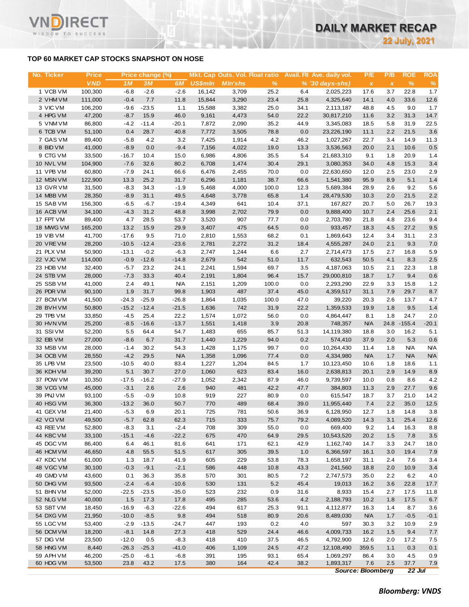### **TOP 60 MARKET CAP STOCKS SNAPSHOT ON HOSE**

T

WISDOM TO SUCCESS

| No. Ticker             | <b>Price</b>      |                  | Price change (%)  |                   |                | Mkt. Cap Outs. Vol. Float ratio |              |              | Avail. Fil Ave. daily vol. | P/E           | P/B          | <b>ROE</b>   | <b>ROA</b>   |
|------------------------|-------------------|------------------|-------------------|-------------------|----------------|---------------------------------|--------------|--------------|----------------------------|---------------|--------------|--------------|--------------|
|                        | <b>VND</b>        | 1M               | 3M                | 6M                | <b>US\$mln</b> | <b>M</b> In'shs                 | %            |              | $% (30 \, days - shs)$     | $\pmb{\chi}$  | $\pmb{\chi}$ | $\%$         | $\%$         |
| 1 VCB VM               | 100,300           | $-6.8$           | $-2.6$            | $-2.6$            | 16,142         | 3,709                           | 25.2         | 6.4          | 2,025,223                  | 17.6          | 3.7          | 22.8         | 1.7          |
| 2 VHM VM               | 111,000           | $-0.4$           | 7.7               | 11.8              | 15,844         | 3,290                           | 23.4         | 25.8         | 4,325,640                  | 14.1          | 4.0          | 33.6         | 12.6         |
| 3 VIC VM               | 106,200           | $-9.6$           | $-23.5$           | 1.1               | 15,588         | 3,382                           | 25.0         | 34.1         | 2,113,187                  | 48.8          | 4.5          | 9.0          | 1.7          |
| 4 HPG VM               | 47,200<br>86,800  | $-8.7$<br>$-4.2$ | 15.9<br>$-11.4$   | 46.0              | 9,161          | 4,473                           | 54.0         | 22.2         | 30,817,210<br>3,345,083    | 11.6          | 3.2          | 31.3<br>31.9 | 14.7<br>22.5 |
| 5 VNM VM<br>6 TCB VM   | 51,100            | 0.4              | 28.7              | $-20.1$<br>40.8   | 7,872<br>7,772 | 2,090<br>3,505                  | 35.2<br>78.8 | 44.9<br>0.0  | 23,226,190                 | 18.5<br>11.1  | 5.8<br>2.2   | 21.5         | 3.6          |
| 7 GAS VM               | 89,400            | $-5.8$           | 4.2               | 3.2               | 7,425          | 1,914                           | 4.2          | 46.2         | 1,027,267                  | 22.7          | 3.4          | 14.9         | 11.3         |
| 8 BID VM               | 41,000            | $-8.9$           | 0.0               | $-9.4$            | 7,156          | 4,022                           | 19.0         | 13.3         | 3,536,563                  | 20.0          | 2.1          | 10.6         | 0.5          |
| 9 CTG VM               | 33,500            | $-16.7$          | 10.4              | 15.0              | 6,986          | 4,806                           | 35.5         | 5.4          | 21,683,310                 | 9.1           | 1.8          | 20.9         | 1.4          |
| 10 NVL VM              | 104,900           | $-7.6$           | 32.6              | 80.2              | 6,708          | 1,474                           | 30.4         | 29.1         | 3,080,353                  | 34.0          | 4.8          | 15.3         | 3.4          |
| 11 VPB VM              | 60,800            | $-7.9$           | 24.1              | 66.6              | 6,476          | 2,455                           | 70.0         | 0.0          | 22,630,650                 | 12.0          | 2.5          | 23.0         | 2.9          |
| 12 MSN VM              | 122,900           | 13.3             | 25.2              | 31.7              | 6,296          | 1,181                           | 38.7         | 66.6         | 1,541,380                  | 95.9          | 8.9          | 5.1          | 1.4          |
| 13 GVR VM              | 31,500            | $-8.3$           | 34.3              | $-1.9$            | 5,468          | 4,000                           | 100.0        | 12.3         | 5,689,384                  | 28.9          | 2.6          | 9.2          | 5.6          |
| 14 MBB VM              | 28,350            | $-8.9$           | 31.1              | 49.5              | 4,648          | 3,778                           | 65.8         | 1.4          | 28,479,530                 | 10.3          | 2.0          | 21.5         | 2.2          |
| 15 SAB VM              | 156,300           | $-6.5$           | $-6.7$            | $-19.4$           | 4,349          | 641                             | 10.4         | 37.1         | 167,827                    | 20.7          | 5.0          | 26.7         | 19.3         |
| 16 ACB VM              | 34,100            | $-4.3$           | 31.2              | 48.8              | 3,998          | 2,702                           | 79.9         | 0.0          | 9,888,400                  | 10.7          | 2.4          | 25.6         | 2.1          |
| 17 FPT VM              | 89,400            | 4.7              | 28.5              | 53.7              | 3,520          | 907                             | 77.7         | 0.0          | 2,703,780                  | 21.8          | 4.8          | 23.6         | 9.4          |
| 18 MWG VM              | 165,200           | 13.2             | 15.9              | 29.9              | 3,407          | 475                             | 64.5         | 0.0          | 933,457                    | 18.3          | 4.5          | 27.2         | 9.5          |
| <b>19 VIB VM</b>       | 41,700            | $-17.6$          | 9.5               | 71.0              | 2,810          | 1,553                           | 68.2         | 0.1          | 1,869,643                  | 12.4          | 3.4          | 31.1         | 2.3          |
| 20 VRE VM              | 28,200            | $-10.5$          | $-12.4$           | $-23.6$           | 2,781          | 2,272                           | 31.2         | 18.4         | 4,555,287                  | 24.0          | 2.1          | 9.3          | 7.0          |
| 21 PLX VM<br>22 VJC VM | 50,900            | $-13.1$          | $-0.2$<br>$-12.6$ | $-6.3$            | 2,747          | 1,244                           | 6.6          | 2.7          | 2,714,473                  | 17.5<br>50.5  | 2.7          | 16.8<br>8.3  | 5.9          |
| 23 HDB VM              | 114,000<br>32,400 | $-0.9$<br>$-5.7$ | 23.2              | $-14.8$<br>24.1   | 2,679<br>2,241 | 542<br>1,594                    | 51.0<br>69.7 | 11.7<br>3.5  | 632,543<br>4,187,063       | 10.5          | 4.1<br>2.1   | 22.3         | 2.5<br>1.8   |
| 24 STB VM              | 28,000            | $-7.3$           | 33.3              | 40.4              | 2,191          | 1,804                           | 96.4         | 15.7         | 29,000,810                 | 18.7          | 1.7          | 9.4          | 0.6          |
| 25 SSB VM              | 41,000            | 2.4              | 49.1              | <b>N/A</b>        | 2,151          | 1,209                           | 100.0        | 0.0          | 2,293,290                  | 22.9          | 3.3          | 15.8         | 1.2          |
| 26 PDR VM              | 90,100            | 1.9              | 31.7              | 99.8              | 1,903          | 487                             | 37.4         | 45.0         | 4,359,517                  | 31.1          | 7.9          | 29.7         | 8.7          |
| 27 BCM VM              | 41,500            | $-24.3$          | $-25.9$           | $-26.8$           | 1,864          | 1,035                           | 100.0        | 47.0         | 39,220                     | 20.3          | 2.6          | 13.7         | 4.7          |
| 28 BVHVM               | 50,800            | $-15.2$          | $-12.4$           | $-21.5$           | 1,636          | 742                             | 31.9         | 22.2         | 1,359,533                  | 19.9          | 1.8          | 9.5          | 1.4          |
| 29 TPB VM              | 33,850            | $-4.5$           | 25.4              | 22.2              | 1,574          | 1,072                           | 56.0         | 0.0          | 4,864,447                  | 8.1           | 1.8          | 24.7         | 2.0          |
| 30 HVN VM              | 25,200            | $-8.5$           | $-16.6$           | $-13.7$           | 1,551          | 1,418                           | 3.9          | 20.8         | 748,357                    | <b>N/A</b>    | 24.8         | $-155.4$     | $-20.1$      |
| 31 SSIVM               | 52,200            | 5.5              | 64.4              | 54.7              | 1,483          | 655                             | 85.7         | 51.3         | 14,119,380                 | 18.8          | 3.0          | 16.2         | 5.1          |
| 32 EIB VM              | 27,000            | $-8.6$           | 6.7               | 31.7              | 1,440          | 1,229                           | 94.0         | 0.2          | 574,410                    | 37.9          | 2.0          | 5.3          | 0.6          |
| 33 MSB VM              | 28,000            | $-1.4$           | 30.2              | 54.3              | 1,428          | 1,175                           | 99.7         | 0.0          | 10,264,430                 | 11.4          | 1.8          | N/A          | <b>N/A</b>   |
| 34 OCB VM              | 28,550            | $-4.2$           | 29.5              | <b>N/A</b>        | 1,358          | 1,096                           | 77.4         | 0.0          | 4,334,980                  | <b>N/A</b>    | 1.7          | <b>N/A</b>   | <b>N/A</b>   |
| 35 LPB VM              | 23,500            | $-10.5$          | 40.0              | 83.4              | 1,227          | 1,204                           | 84.5         | 1.7          | 10,123,450                 | 10.6          | 1.8          | 18.6         | 1.1          |
| 36 KDH VM              | 39,200            | 5.1              | 30.7              | 27.0              | 1,060          | 623                             | 83.4         | 16.0         | 2,638,813                  | 20.1          | 2.9          | 14.9         | 8.9          |
| 37 POW VM<br>38 VCG VM | 10,350            | $-17.5$          | $-16.2$           | $-27.9$           | 1,052          | 2,342                           | 87.9         | 46.0         | 9,739,597                  | 10.0          | 0.8<br>2.9   | 8.6<br>27.7  | 4.2          |
| 39 PNJ VM              | 45,000<br>93,100  | $-3.1$<br>$-5.5$ | 2.6<br>$-0.9$     | 2.6<br>10.8       | 940<br>919     | 481<br>227                      | 42.2<br>80.9 | 47.7<br>0.0  | 384,803<br>615,547         | 11.3<br>18.7  | 3.7          | 21.0         | 9.6<br>14.2  |
| 40 HSG VM              | 36,300            | $-13.2$          | 36.0              | 50.7              | 770            | 489                             | 68.4         | 39.0         | 11,955,440                 | 7.4           | 2.2          | 35.0         | 12.5         |
| 41 GEX VM              | 21,400            | $-5.3$           | 6.9               | 20.1              | 725            | 781                             | 50.6         | 36.9         | 6,128,950                  | 12.7          | 1.8          | 14.8         | 3.8          |
| 42 VCIVM               | 49,500            | $-5.7$           | 62.8              | 62.3              | 715            | 333                             | 75.7         | 79.2         | 4,089,520                  | 14.3          | 3.1          | 25.4         | 12.6         |
| 43 REE VM              | 52,800            | $-8.3$           | 3.1               | $-2.4$            | 708            | 309                             | 55.0         | 0.0          | 669,400                    | 9.2           | 1.4          | 16.3         | 8.8          |
| 44 KBC VM              | 33,100            | $-15.1$          | $-4.6$            | $-22.2$           | 675            | 470                             | 64.9         | 29.5         | 10,543,520                 | 20.2          | 1.5          | 7.8          | 3.5          |
| 45 DGC VM              | 86,400            | 6.4              | 46.1              | 81.6              | 641            | 171                             | 62.1         | 42.9         | 1,162,740                  | 14.7          | 3.3          | 24.7         | 18.0         |
| 46 HCM VM              | 46,650            | 4.8              | 55.5              | 51.5              | 617            | 305                             | 39.5         | 1.0          | 6,366,597                  | 16.1          | 3.0          | 19.4         | 7.9          |
| 47 KDC VM              | 61,000            | 1.3              | 18.7              | 41.9              | 605            | 229                             | 53.8         | 78.3         | 1,658,197                  | 31.1          | 2.4          | 7.6          | 3.4          |
| 48 VGC VM              | 30,100            | $-0.3$           | $-9.1$            | $-2.1$            | 586            | 448                             | 10.8         | 43.3         | 241,560                    | 18.8          | 2.0          | 10.9         | $3.4$        |
| 49 GMD VM              | 43,600            | 0.1              | 36.3              | 35.8              | 570            | 301                             | 80.5         | 7.2          | 2,747,573                  | 35.0          | 2.2          | 6.2          | 4.0          |
| 50 DHG VM              | 93,500            | $-2.4$           | $-6.4$            | $-10.6$           | 530            | 131                             | 5.2          | 45.4         | 19,013                     | 16.2          | 3.6          | 22.8         | 17.7         |
| 51 BHN VM              | 52,000            | $-22.5$          | $-23.5$           | $-35.0$           | 523            | 232                             | 0.9          | 31.6         | 8,933                      | 15.4          | 2.7          | 17.5         | 11.8         |
| 52 NLG VM              | 40,000            | 1.5              | 17.3              | 17.8              | 495            | 285                             | 53.6         | 4.2          | 2,188,793                  | 10.2          | 1.8          | 17.5         | 6.7          |
| 53 SBT VM              | 18,450            | $-16.9$          | $-6.3$            | $-22.6$           | 494            | 617                             | 25.3         | 91.1         | 4,112,877                  | 16.3          | 1.4          | 8.7          | 3.6          |
| 54 DXG VM              | 21,950            | $-10.0$          | $-8.5$            | 9.8               | 494            | 518                             | 80.9         | 20.6         | 8,489,030                  | <b>N/A</b>    | 1.7          | $-0.5$       | $-0.1$       |
| 55 LGC VM              | 53,400            | $-2.9$           | $-13.5$           | $-24.7$           | 447            | 193                             | 0.2          | 4.0          | 597                        | 30.3          | 3.2          | 10.9         | 2.9          |
| 56 DCM VM              | 18,200            | $-8.1$           | 14.8              | 27.3              | 418            | 529                             | 24.4         | 46.6         | 4,009,733                  | 16.2          | 1.5          | 9.4          | 7.7          |
| 57 DIG VM              | 23,500<br>8,440   | $-12.0$          | 0.5               | $-8.3$            | 418            | 410                             | 37.5         | 46.5         | 4,792,900                  | 12.6          | 2.0          | 17.2         | 7.5          |
| 58 HNG VM<br>59 APH VM | 46,200            | $-26.3$          | $-25.3$<br>$-6.1$ | $-41.0$<br>$-6.8$ | 406<br>391     | 1,109<br>195                    | 24.5<br>93.1 | 47.2<br>65.4 | 12,108,490<br>1,069,297    | 359.5<br>86.4 | 1.1<br>3.0   | 0.3<br>4.5   | 0.1          |
| 60 HDG VM              | 53,500            | $-25.0$<br>23.8  | 43.2              | 17.5              | 380            | 164                             | 42.4         | 38.2         | 1,893,317                  | 7.6           | 2.5          | 37.7         | 0.9<br>7.9   |
|                        |                   |                  |                   |                   |                |                                 |              |              |                            |               |              |              |              |